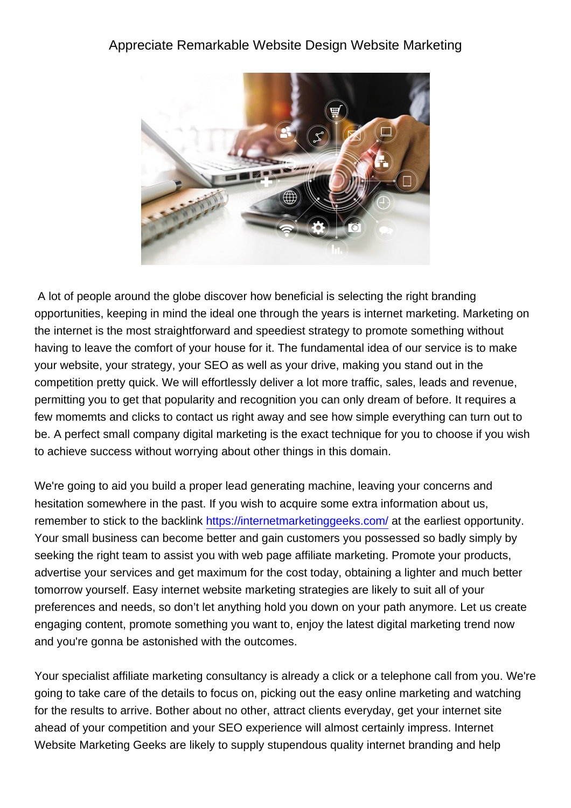## Appreciate Remarkable Website Design Website Marketing



 A lot of people around the globe discover how beneficial is selecting the right branding opportunities, keeping in mind the ideal one through the years is internet marketing. Marketing on the internet is the most straightforward and speediest strategy to promote something without having to leave the comfort of your house for it. The fundamental idea of our service is to make your website, your strategy, your SEO as well as your drive, making you stand out in the competition pretty quick. We will effortlessly deliver a lot more traffic, sales, leads and revenue, permitting you to get that popularity and recognition you can only dream of before. It requires a few momemts and clicks to contact us right away and see how simple everything can turn out to be. A perfect small company digital marketing is the exact technique for you to choose if you wish to achieve success without worrying about other things in this domain.

We're going to aid you build a proper lead generating machine, leaving your concerns and hesitation somewhere in the past. If you wish to acquire some extra information about us, remember to stick to the backlink <https://internetmarketinggeeks.com/>at the earliest opportunity. Your small business can become better and gain customers you possessed so badly simply by seeking the right team to assist you with web page affiliate marketing. Promote your products, advertise your services and get maximum for the cost today, obtaining a lighter and much better tomorrow yourself. Easy internet website marketing strategies are likely to suit all of your preferences and needs, so don't let anything hold you down on your path anymore. Let us create engaging content, promote something you want to, enjoy the latest digital marketing trend now and you're gonna be astonished with the outcomes.

Your specialist affiliate marketing consultancy is already a click or a telephone call from you. We're going to take care of the details to focus on, picking out the easy online marketing and watching for the results to arrive. Bother about no other, attract clients everyday, get your internet site ahead of your competition and your SEO experience will almost certainly impress. Internet Website Marketing Geeks are likely to supply stupendous quality internet branding and help